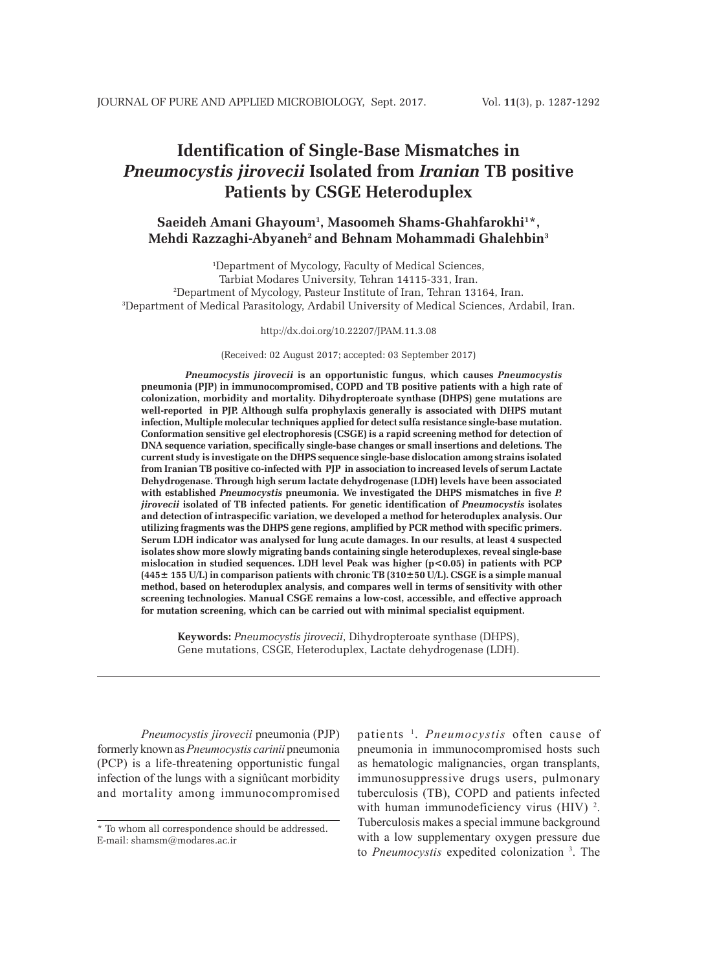# **Identification of Single-Base Mismatches in**  *Pneumocystis jirovecii* **Isolated from** *Iranian* **TB positive Patients by CSGE Heteroduplex**

# **Saeideh Amani Ghayoum1 , Masoomeh Shams-Ghahfarokhi1 \*, Mehdi Razzaghi-Abyaneh2 and Behnam Mohammadi Ghalehbin3**

 Department of Mycology, Faculty of Medical Sciences, Tarbiat Modares University, Tehran 14115-331, Iran. Department of Mycology, Pasteur Institute of Iran, Tehran 13164, Iran. Department of Medical Parasitology, Ardabil University of Medical Sciences, Ardabil, Iran.

http://dx.doi.org/10.22207/JPAM.11.3.08

(Received: 02 August 2017; accepted: 03 September 2017)

*Pneumocystis jirovecii* **is an opportunistic fungus, which causes** *Pneumocystis*  **pneumonia (PJP) in immunocompromised, COPD and TB positive patients with a high rate of colonization, morbidity and mortality. Dihydropteroate synthase (DHPS) gene mutations are well-reported in PJP. Although sulfa prophylaxis generally is associated with DHPS mutant infection, Multiple molecular techniques applied for detect sulfa resistance single-base mutation. Conformation sensitive gel electrophoresis (CSGE) is a rapid screening method for detection of DNA sequence variation, specifically single-base changes or small insertions and deletions***.* **The current study is investigate on the DHPS sequence single-base dislocation among strains isolated from Iranian TB positive co-infected with PJP in association to increased levels of serum Lactate Dehydrogenase. Through high serum lactate dehydrogenase (LDH) levels have been associated with established** *Pneumocystis* **pneumonia. We investigated the DHPS mismatches in five** *P. jirovecii* **isolated of TB infected patients. For genetic identification of** *Pneumocystis* **isolates and detection of intraspecific variation, we developed a method for heteroduplex analysis. Our utilizing fragments was the DHPS gene regions, amplified by PCR method with specific primers. Serum LDH indicator was analysed for lung acute damages. In our results, at least 4 suspected isolates show more slowly migrating bands containing single heteroduplexes, reveal single-base mislocation in studied sequences. LDH level Peak was higher (p<0.05) in patients with PCP (445± 155 U/L) in comparison patients with chronic TB (310±50 U/L). CSGE is a simple manual method, based on heteroduplex analysis, and compares well in terms of sensitivity with other screening technologies. Manual CSGE remains a low-cost, accessible, and effective approach for mutation screening, which can be carried out with minimal specialist equipment.**

**Keywords:** *Pneumocystis jirovecii*, Dihydropteroate synthase (DHPS), Gene mutations, CSGE, Heteroduplex, Lactate dehydrogenase (LDH).

*Pneumocystis jirovecii* pneumonia (PJP) formerly known as *Pneumocystis carinii* pneumonia (PCP) is a life-threatening opportunistic fungal infection of the lungs with a signiûcant morbidity and mortality among immunocompromised

patients 1. *Pneumocystis* often cause of pneumonia in immunocompromised hosts such as hematologic malignancies, organ transplants, immunosuppressive drugs users, pulmonary tuberculosis (TB), COPD and patients infected with human immunodeficiency virus (HIV) <sup>2</sup>. Tuberculosis makes a special immune background with a low supplementary oxygen pressure due to *Pneumocystis* expedited colonization 3 . The

<sup>\*</sup> To whom all correspondence should be addressed. E-mail: shamsm@modares.ac.ir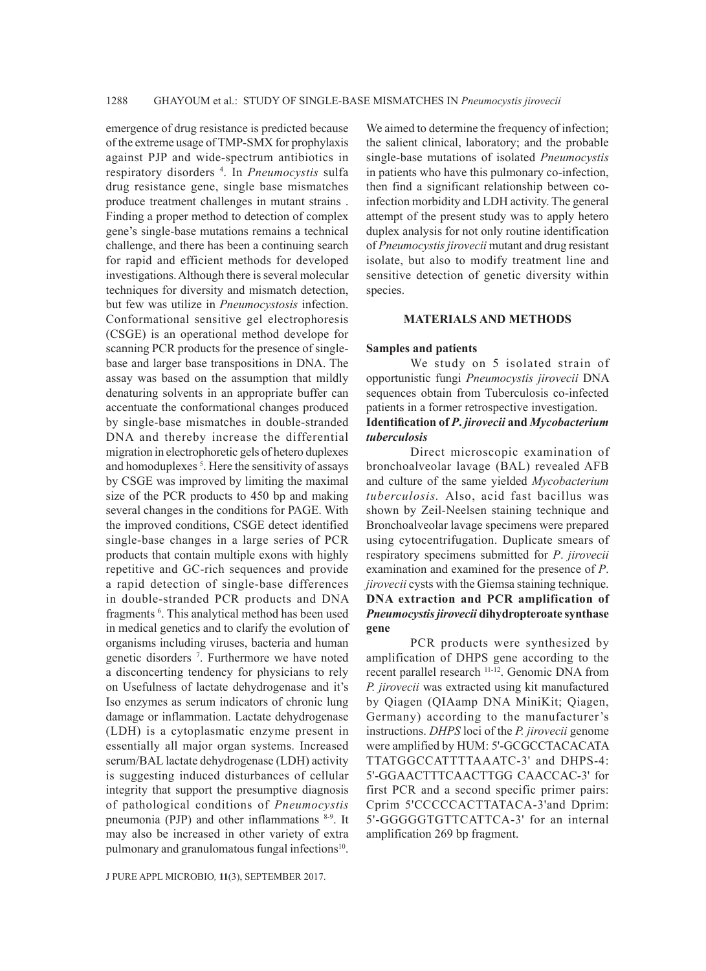emergence of drug resistance is predicted because of the extreme usage of TMP-SMX for prophylaxis against PJP and wide-spectrum antibiotics in respiratory disorders 4 . In *Pneumocystis* sulfa drug resistance gene, single base mismatches produce treatment challenges in mutant strains . Finding a proper method to detection of complex gene's single-base mutations remains a technical challenge, and there has been a continuing search for rapid and efficient methods for developed investigations. Although there is several molecular techniques for diversity and mismatch detection, but few was utilize in *Pneumocystosis* infection. Conformational sensitive gel electrophoresis (CSGE) is an operational method develope for scanning PCR products for the presence of singlebase and larger base transpositions in DNA. The assay was based on the assumption that mildly denaturing solvents in an appropriate buffer can accentuate the conformational changes produced by single-base mismatches in double-stranded DNA and thereby increase the differential migration in electrophoretic gels of hetero duplexes and homoduplexes<sup>5</sup>. Here the sensitivity of assays by CSGE was improved by limiting the maximal size of the PCR products to 450 bp and making several changes in the conditions for PAGE. With the improved conditions, CSGE detect identified single-base changes in a large series of PCR products that contain multiple exons with highly repetitive and GC-rich sequences and provide a rapid detection of single-base differences in double-stranded PCR products and DNA fragments <sup>6</sup>. This analytical method has been used in medical genetics and to clarify the evolution of organisms including viruses, bacteria and human genetic disorders 7 . Furthermore we have noted a disconcerting tendency for physicians to rely on Usefulness of lactate dehydrogenase and it's Iso enzymes as serum indicators of chronic lung damage or inflammation. Lactate dehydrogenase (LDH) is a cytoplasmatic enzyme present in essentially all major organ systems. Increased serum/BAL lactate dehydrogenase (LDH) activity is suggesting induced disturbances of cellular integrity that support the presumptive diagnosis of pathological conditions of *Pneumocystis* pneumonia (PJP) and other inflammations 8-9. It may also be increased in other variety of extra pulmonary and granulomatous fungal infections<sup>10</sup>.

We aimed to determine the frequency of infection; the salient clinical, laboratory; and the probable single-base mutations of isolated *Pneumocystis* in patients who have this pulmonary co-infection, then find a significant relationship between coinfection morbidity and LDH activity. The general attempt of the present study was to apply hetero duplex analysis for not only routine identification of *Pneumocystis jirovecii* mutant and drug resistant isolate, but also to modify treatment line and sensitive detection of genetic diversity within species.

#### **MATERIALS AND METHODS**

#### **Samples and patients**

We study on 5 isolated strain of opportunistic fungi *Pneumocystis jirovecii* DNA sequences obtain from Tuberculosis co-infected patients in a former retrospective investigation. **Identification of** *P***.** *jirovecii* **and** *Mycobacterium tuberculosis*

Direct microscopic examination of bronchoalveolar lavage (BAL) revealed AFB and culture of the same yielded *Mycobacterium tuberculosis.* Also, acid fast bacillus was shown by Zeil-Neelsen staining technique and Bronchoalveolar lavage specimens were prepared using cytocentrifugation. Duplicate smears of respiratory specimens submitted for *P*. *jirovecii*  examination and examined for the presence of *P*. *jirovecii* cysts with the Giemsa staining technique. **DNA extraction and PCR amplification of**  *Pneumocystis jirovecii* **dihydropteroate synthase gene**

PCR products were synthesized by amplification of DHPS gene according to the recent parallel research 11-12. Genomic DNA from *P. jirovecii* was extracted using kit manufactured by Qiagen (QIAamp DNA MiniKit; Qiagen, Germany) according to the manufacturer's instructions. *DHPS* loci of the *P. jirovecii* genome were amplified by HUM: 5'-GCGCCTACACATA TTATGGCCATTTTAAATC-3' and DHPS-4: 5'-GGAACTTTCAACTTGG CAACCAC-3' for first PCR and a second specific primer pairs: Cprim 5'CCCCCACTTATACA-3'and Dprim: 5'-GGGGGTGTTCATTCA-3' for an internal amplification 269 bp fragment.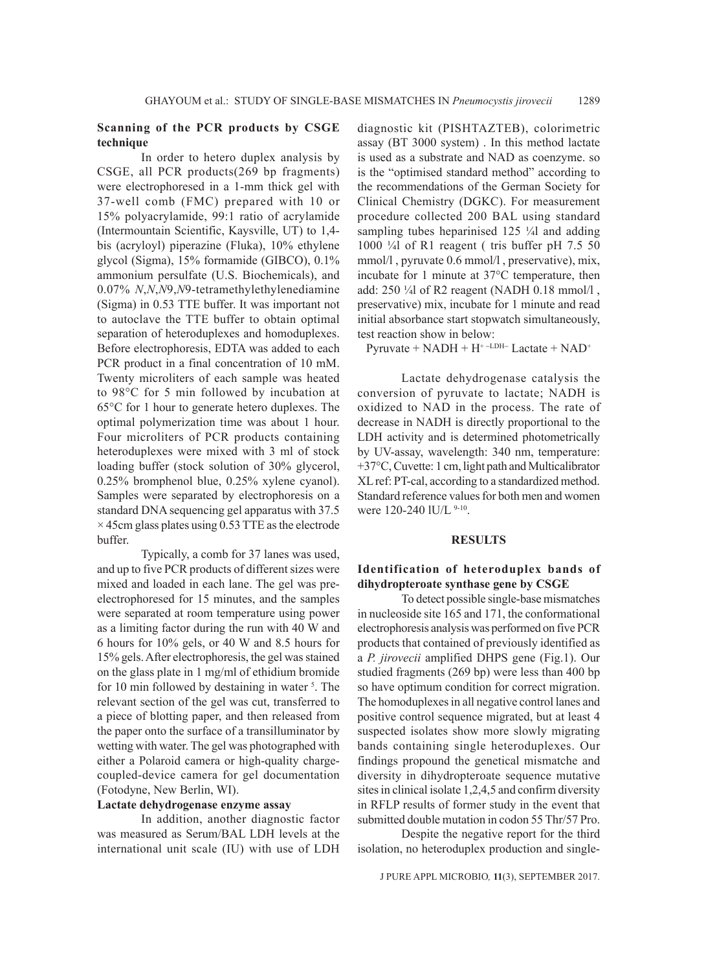## **Scanning of the PCR products by CSGE technique**

In order to hetero duplex analysis by CSGE, all PCR products(269 bp fragments) were electrophoresed in a 1-mm thick gel with 37-well comb (FMC) prepared with 10 or 15% polyacrylamide, 99:1 ratio of acrylamide (Intermountain Scientific, Kaysville, UT) to 1,4 bis (acryloyl) piperazine (Fluka), 10% ethylene glycol (Sigma), 15% formamide (GIBCO), 0.1% ammonium persulfate (U.S. Biochemicals), and 0.07% *N*,*N*,*N*9,*N*9-tetramethylethylenediamine (Sigma) in 0.53 TTE buffer. It was important not to autoclave the TTE buffer to obtain optimal separation of heteroduplexes and homoduplexes. Before electrophoresis, EDTA was added to each PCR product in a final concentration of 10 mM. Twenty microliters of each sample was heated to 98°C for 5 min followed by incubation at 65°C for 1 hour to generate hetero duplexes. The optimal polymerization time was about 1 hour. Four microliters of PCR products containing heteroduplexes were mixed with 3 ml of stock loading buffer (stock solution of 30% glycerol, 0.25% bromphenol blue, 0.25% xylene cyanol). Samples were separated by electrophoresis on a standard DNA sequencing gel apparatus with 37.5  $\times$  45cm glass plates using 0.53 TTE as the electrode buffer.

Typically, a comb for 37 lanes was used, and up to five PCR products of different sizes were mixed and loaded in each lane. The gel was preelectrophoresed for 15 minutes, and the samples were separated at room temperature using power as a limiting factor during the run with 40 W and 6 hours for 10% gels, or 40 W and 8.5 hours for 15% gels. After electrophoresis, the gel was stained on the glass plate in 1 mg/ml of ethidium bromide for 10 min followed by destaining in water <sup>5</sup>. The relevant section of the gel was cut, transferred to a piece of blotting paper, and then released from the paper onto the surface of a transilluminator by wetting with water. The gel was photographed with either a Polaroid camera or high-quality chargecoupled-device camera for gel documentation (Fotodyne, New Berlin, WI).

## **Lactate dehydrogenase enzyme assay**

In addition, another diagnostic factor was measured as Serum/BAL LDH levels at the international unit scale (IU) with use of LDH diagnostic kit (PISHTAZTEB), colorimetric assay (BT 3000 system) . In this method lactate is used as a substrate and NAD as coenzyme. so is the "optimised standard method" according to the recommendations of the German Society for Clinical Chemistry (DGKC). For measurement procedure collected 200 BAL using standard sampling tubes heparinised 125 ¼l and adding 1000 ¼l of R1 reagent ( tris buffer pH 7.5 50 mmol/l , pyruvate 0.6 mmol/l , preservative), mix, incubate for 1 minute at 37°C temperature, then add: 250 ¼l of R2 reagent (NADH 0.18 mmol/l , preservative) mix, incubate for 1 minute and read initial absorbance start stopwatch simultaneously, test reaction show in below:

 $Pyruvate + NADH + H^{+-LDH-}$  Lactate +  $NAD^{+}$ 

Lactate dehydrogenase catalysis the conversion of pyruvate to lactate; NADH is oxidized to NAD in the process. The rate of decrease in NADH is directly proportional to the LDH activity and is determined photometrically by UV-assay, wavelength: 340 nm, temperature: +37°C, Cuvette: 1 cm, light path and Multicalibrator XL ref: PT-cal, according to a standardized method. Standard reference values for both men and women were 120-240 lU/L 9-10.

### **RESULTS**

## **Identification of heteroduplex bands of dihydropteroate synthase gene by CSGE**

To detect possible single-base mismatches in nucleoside site 165 and 171, the conformational electrophoresis analysis was performed on five PCR products that contained of previously identified as a *P. jirovecii* amplified DHPS gene (Fig.1). Our studied fragments (269 bp) were less than 400 bp so have optimum condition for correct migration. The homoduplexes in all negative control lanes and positive control sequence migrated, but at least 4 suspected isolates show more slowly migrating bands containing single heteroduplexes. Our findings propound the genetical mismatche and diversity in dihydropteroate sequence mutative sites in clinical isolate 1,2,4,5 and confirm diversity in RFLP results of former study in the event that submitted double mutation in codon 55 Thr/57 Pro.

Despite the negative report for the third isolation, no heteroduplex production and single-

J PURE APPL MICROBIO*,* **11**(3), SEPTEMBER 2017.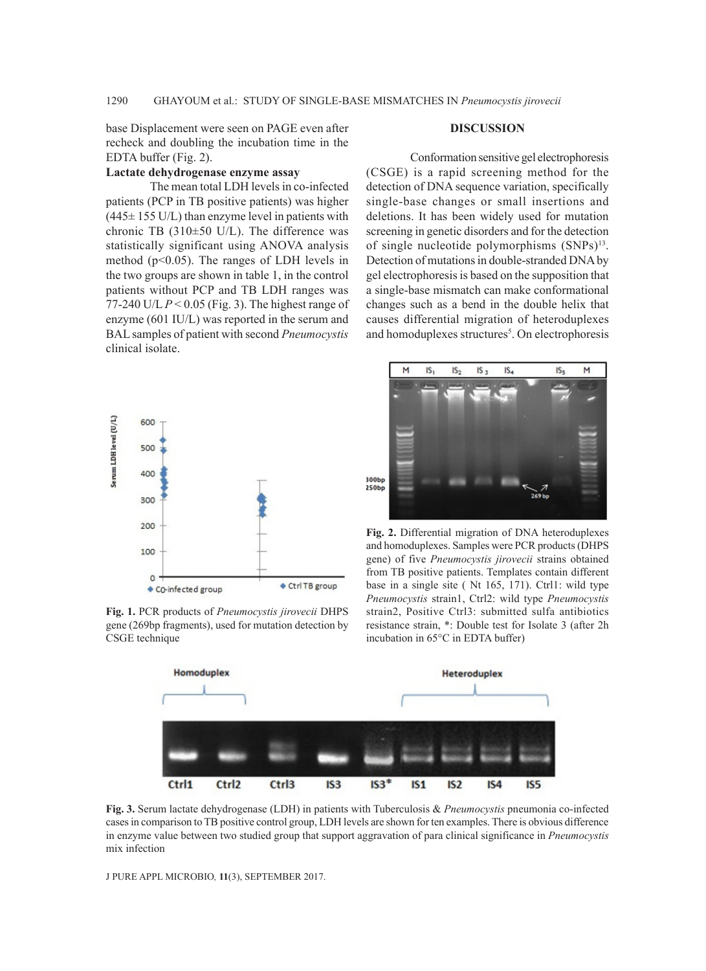base Displacement were seen on PAGE even after recheck and doubling the incubation time in the EDTA buffer (Fig. 2).

### **Lactate dehydrogenase enzyme assay**

The mean total LDH levels in co-infected patients (PCP in TB positive patients) was higher  $(445 \pm 155 \text{ U/L})$  than enzyme level in patients with chronic TB  $(310\pm50 \text{ U/L})$ . The difference was statistically significant using ANOVA analysis method (p<0.05). The ranges of LDH levels in the two groups are shown in table 1, in the control patients without PCP and TB LDH ranges was 77-240 U/L  $P < 0.05$  (Fig. 3). The highest range of enzyme (601 IU/L) was reported in the serum and BAL samples of patient with second *Pneumocystis* clinical isolate.



**Fig. 1.** PCR products of *Pneumocystis jirovecii* DHPS gene (269bp fragments), used for mutation detection by CSGE technique

## **DISCUSSION**

Conformation sensitive gel electrophoresis (CSGE) is a rapid screening method for the detection of DNA sequence variation, specifically single-base changes or small insertions and deletions. It has been widely used for mutation screening in genetic disorders and for the detection of single nucleotide polymorphisms (SNPs)<sup>13</sup>. Detection of mutations in double-stranded DNA by gel electrophoresis is based on the supposition that a single-base mismatch can make conformational changes such as a bend in the double helix that causes differential migration of heteroduplexes and homoduplexes structures<sup>5</sup>. On electrophoresis



**Fig. 2.** Differential migration of DNA heteroduplexes and homoduplexes. Samples were PCR products (DHPS gene) of five *Pneumocystis jirovecii* strains obtained from TB positive patients. Templates contain different base in a single site ( Nt 165, 171). Ctrl1: wild type *Pneumocystis* strain1, Ctrl2: wild type *Pneumocystis* strain2, Positive Ctrl3: submitted sulfa antibiotics resistance strain, \*: Double test for Isolate 3 (after 2h incubation in 65°C in EDTA buffer)



**Fig. 3.** Serum lactate dehydrogenase (LDH) in patients with Tuberculosis & *Pneumocystis* pneumonia co-infected cases in comparison to TB positive control group, LDH levels are shown for ten examples. There is obvious difference in enzyme value between two studied group that support aggravation of para clinical significance in *Pneumocystis* mix infection

J PURE APPL MICROBIO*,* **11**(3), SEPTEMBER 2017.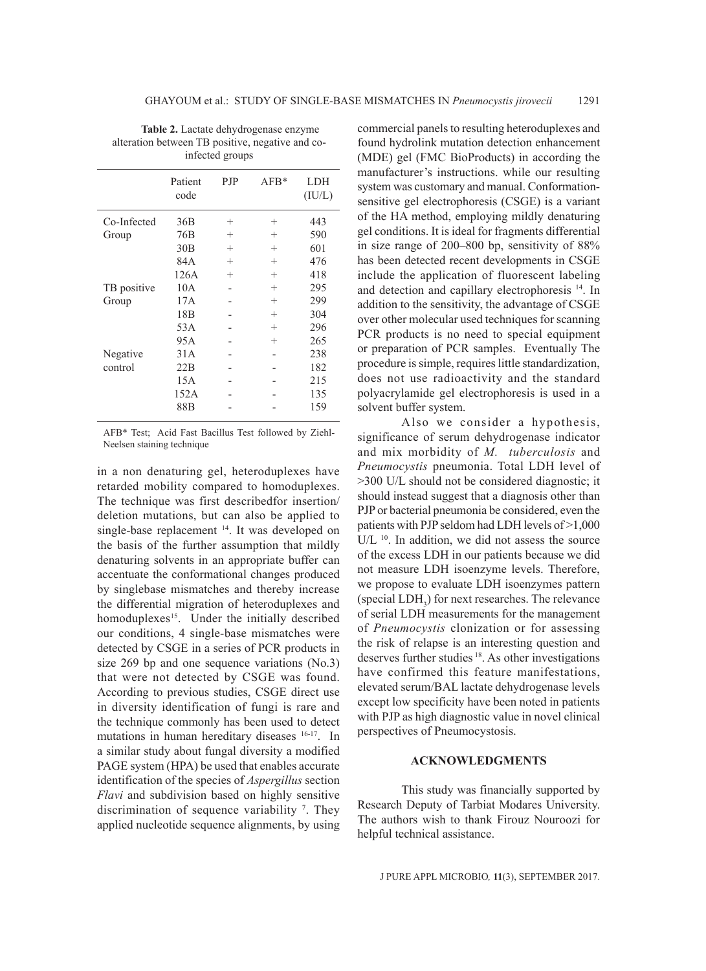| Table 2. Lactate dehydrogenase enzyme            |
|--------------------------------------------------|
| alteration between TB positive, negative and co- |
| infected groups                                  |

|             | Patient<br>code | <b>PJP</b> | $AFB*$ | <b>LDH</b><br>(IU/L) |
|-------------|-----------------|------------|--------|----------------------|
| Co-Infected | 36B             | $^{+}$     | $^{+}$ | 443                  |
| Group       | 76B             | $^{+}$     | $^{+}$ | 590                  |
|             | 30B             | $^{+}$     | $^{+}$ | 601                  |
|             | 84A             | $^{+}$     | $^{+}$ | 476                  |
|             | 126A            | $^{+}$     | $^{+}$ | 418                  |
| TB positive | 10A             |            | $^{+}$ | 295                  |
| Group       | 17A             |            | $^{+}$ | 299                  |
|             | 18 <sub>B</sub> |            | $^{+}$ | 304                  |
|             | 53A             |            | $^{+}$ | 296                  |
|             | 95A             |            | $^{+}$ | 265                  |
| Negative    | 31A             |            |        | 238                  |
| control     | 22B             |            |        | 182                  |
|             | 15A             |            |        | 215                  |
|             | 152A            |            |        | 135                  |
|             | 88B             |            |        | 159                  |

AFB\* Test; Acid Fast Bacillus Test followed by Ziehl-Neelsen staining technique

in a non denaturing gel, heteroduplexes have retarded mobility compared to homoduplexes. The technique was first describedfor insertion/ deletion mutations, but can also be applied to single-base replacement 14. It was developed on the basis of the further assumption that mildly denaturing solvents in an appropriate buffer can accentuate the conformational changes produced by singlebase mismatches and thereby increase the differential migration of heteroduplexes and homoduplexes<sup>15</sup>. Under the initially described our conditions, 4 single-base mismatches were detected by CSGE in a series of PCR products in size 269 bp and one sequence variations (No.3) that were not detected by CSGE was found. According to previous studies, CSGE direct use in diversity identification of fungi is rare and the technique commonly has been used to detect mutations in human hereditary diseases 16-17. In a similar study about fungal diversity a modified PAGE system (HPA) be used that enables accurate identification of the species of *Aspergillus* section *Flavi* and subdivision based on highly sensitive discrimination of sequence variability 7 . They applied nucleotide sequence alignments, by using

commercial panels to resulting heteroduplexes and found hydrolink mutation detection enhancement (MDE) gel (FMC BioProducts) in according the manufacturer's instructions. while our resulting system was customary and manual. Conformationsensitive gel electrophoresis (CSGE) is a variant of the HA method, employing mildly denaturing gel conditions. It is ideal for fragments differential in size range of 200–800 bp, sensitivity of 88% has been detected recent developments in CSGE include the application of fluorescent labeling and detection and capillary electrophoresis 14. In addition to the sensitivity, the advantage of CSGE over other molecular used techniques for scanning PCR products is no need to special equipment or preparation of PCR samples. Eventually The procedure is simple, requires little standardization, does not use radioactivity and the standard polyacrylamide gel electrophoresis is used in a solvent buffer system.

Also we consider a hypothesis, significance of serum dehydrogenase indicator and mix morbidity of *M. tuberculosis* and *Pneumocystis* pneumonia. Total LDH level of >300 U/L should not be considered diagnostic; it should instead suggest that a diagnosis other than PJP or bacterial pneumonia be considered, even the patients with PJP seldom had LDH levels of >1,000  $U/L$ <sup>10</sup>. In addition, we did not assess the source of the excess LDH in our patients because we did not measure LDH isoenzyme levels. Therefore, we propose to evaluate LDH isoenzymes pattern (special  $LDH_3$ ) for next researches. The relevance of serial LDH measurements for the management of *Pneumocystis* clonization or for assessing the risk of relapse is an interesting question and deserves further studies 18. As other investigations have confirmed this feature manifestations, elevated serum/BAL lactate dehydrogenase levels except low specificity have been noted in patients with PJP as high diagnostic value in novel clinical perspectives of Pneumocystosis.

## **ACKNOWLEDGMENTS**

This study was financially supported by Research Deputy of Tarbiat Modares University. The authors wish to thank Firouz Nouroozi for helpful technical assistance.